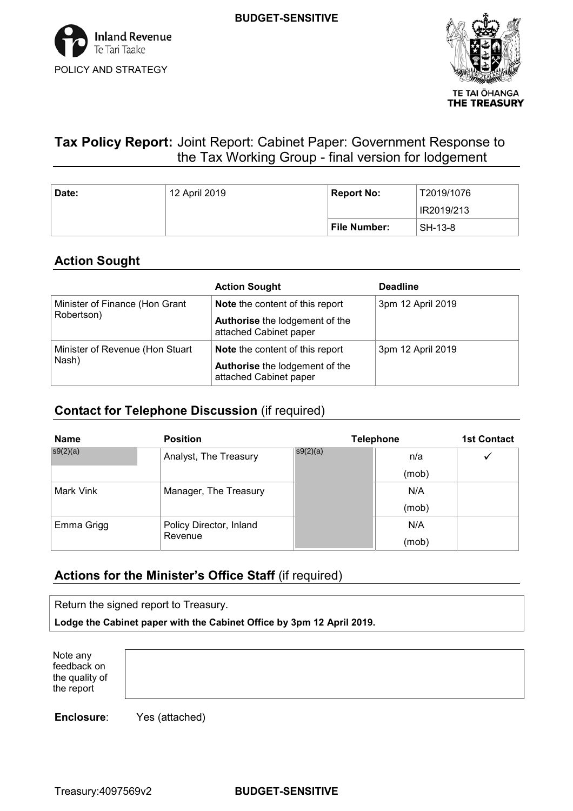

# **Tax Policy Report:** Joint Report: Cabinet Paper: Government Response to the Tax Working Group - final version for lodgement

**BUDGET-SENSITIVE**

| Date: | 12 April 2019 | <b>Report No:</b><br>T2019/1076 |            |
|-------|---------------|---------------------------------|------------|
|       |               |                                 | IR2019/213 |
|       |               | File Number:                    | SH-13-8    |

## **Action Sought**

|                                 | <b>Action Sought</b>                                     | <b>Deadline</b>   |
|---------------------------------|----------------------------------------------------------|-------------------|
| Minister of Finance (Hon Grant  | Note the content of this report                          | 3pm 12 April 2019 |
| Robertson)                      | Authorise the lodgement of the<br>attached Cabinet paper |                   |
| Minister of Revenue (Hon Stuart | <b>Note</b> the content of this report                   | 3pm 12 April 2019 |
| Nash)                           | Authorise the lodgement of the<br>attached Cabinet paper |                   |

### **Contact for Telephone Discussion** (if required)

| <b>Name</b> | <b>Position</b>         |          | <b>Telephone</b> |  |  |
|-------------|-------------------------|----------|------------------|--|--|
| s9(2)(a)    | Analyst, The Treasury   | s9(2)(a) | n/a              |  |  |
|             |                         |          | (mob)            |  |  |
| Mark Vink   | Manager, The Treasury   |          | N/A              |  |  |
|             |                         |          | (mob)            |  |  |
| Emma Grigg  | Policy Director, Inland |          | N/A              |  |  |
|             | Revenue                 |          | (mob)            |  |  |

## **Actions for the Minister's Office Staff** (if required)

| Return the signed report to Treasury.                                 |
|-----------------------------------------------------------------------|
| Lodge the Cabinet paper with the Cabinet Office by 3pm 12 April 2019. |

 Note any the quality of the report feedback on

**Enclosure**: Yes (attached)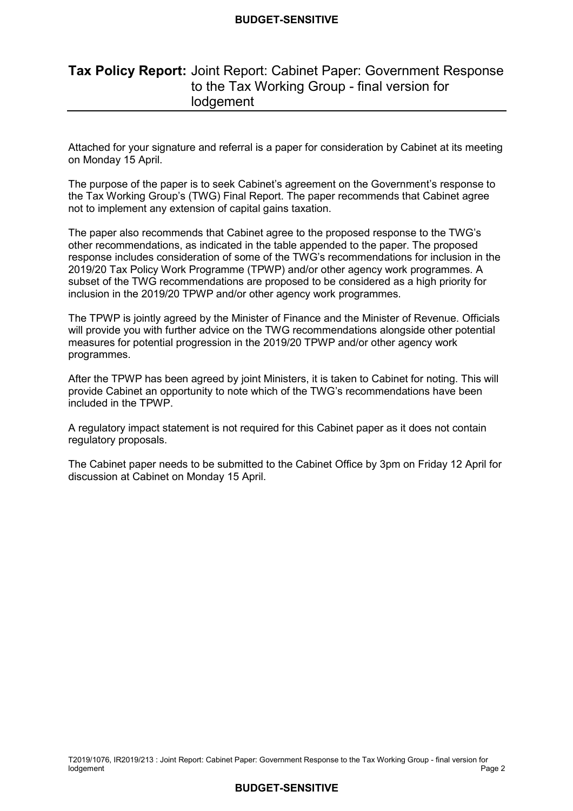#### **BUDGET-SENSITIVE**

## **Tax Policy Report:** Joint Report: Cabinet Paper: Government Response to the Tax Working Group - final version for **lodgement**

 Attached for your signature and referral is a paper for consideration by Cabinet at its meeting on Monday 15 April.

 The purpose of the paper is to seek Cabinet's agreement on the Government's response to the Tax Working Group's (TWG) Final Report. The paper recommends that Cabinet agree not to implement any extension of capital gains taxation.

 The paper also recommends that Cabinet agree to the proposed response to the TWG's other recommendations, as indicated in the table appended to the paper. The proposed response includes consideration of some of the TWG's recommendations for inclusion in the 2019/20 Tax Policy Work Programme (TPWP) and/or other agency work programmes. A subset of the TWG recommendations are proposed to be considered as a high priority for inclusion in the 2019/20 TPWP and/or other agency work programmes.

 The TPWP is jointly agreed by the Minister of Finance and the Minister of Revenue. Officials will provide you with further advice on the TWG recommendations alongside other potential measures for potential progression in the 2019/20 TPWP and/or other agency work programmes.

 After the TPWP has been agreed by joint Ministers, it is taken to Cabinet for noting. This will provide Cabinet an opportunity to note which of the TWG's recommendations have been included in the TPWP.

 A regulatory impact statement is not required for this Cabinet paper as it does not contain regulatory proposals.

 The Cabinet paper needs to be submitted to the Cabinet Office by 3pm on Friday 12 April for discussion at Cabinet on Monday 15 April.